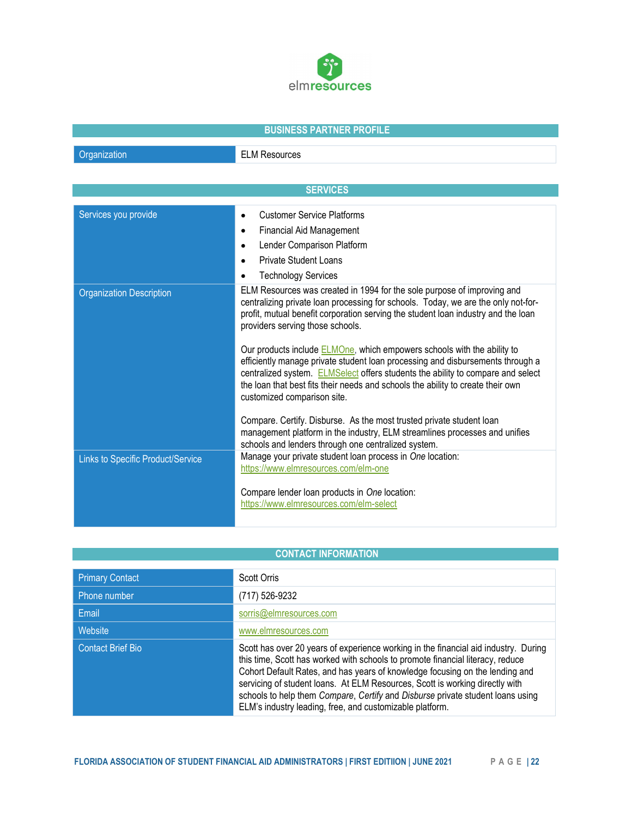

## BUSINESS PARTNER PROFILE

| Organization |  |
|--------------|--|
|              |  |
|              |  |

**ELM Resources** 

| <b>SERVICES</b>                   |                                                                                                                                                                                                                                                                                                                                                                                                                                                                                                                                                                                                                                                                 |  |
|-----------------------------------|-----------------------------------------------------------------------------------------------------------------------------------------------------------------------------------------------------------------------------------------------------------------------------------------------------------------------------------------------------------------------------------------------------------------------------------------------------------------------------------------------------------------------------------------------------------------------------------------------------------------------------------------------------------------|--|
| Services you provide              | <b>Customer Service Platforms</b><br><b>Financial Aid Management</b><br>$\bullet$<br>Lender Comparison Platform<br>$\bullet$<br>Private Student Loans<br><b>Technology Services</b>                                                                                                                                                                                                                                                                                                                                                                                                                                                                             |  |
| <b>Organization Description</b>   | ELM Resources was created in 1994 for the sole purpose of improving and<br>centralizing private loan processing for schools. Today, we are the only not-for-<br>profit, mutual benefit corporation serving the student loan industry and the loan<br>providers serving those schools.<br>Our products include <b>ELMOne</b> , which empowers schools with the ability to<br>efficiently manage private student loan processing and disbursements through a<br>centralized system. ELMSelect offers students the ability to compare and select<br>the loan that best fits their needs and schools the ability to create their own<br>customized comparison site. |  |
| Links to Specific Product/Service | Compare. Certify. Disburse. As the most trusted private student loan<br>management platform in the industry, ELM streamlines processes and unifies<br>schools and lenders through one centralized system.<br>Manage your private student loan process in One location:<br>https://www.elmresources.com/elm-one<br>Compare lender loan products in One location:                                                                                                                                                                                                                                                                                                 |  |
|                                   | https://www.elmresources.com/elm-select                                                                                                                                                                                                                                                                                                                                                                                                                                                                                                                                                                                                                         |  |

## CONTACT INFORMATION

| <b>Primary Contact</b>   | <b>Scott Orris</b>                                                                                                                                                                                                                                                                                                                                                                                                                                                                  |
|--------------------------|-------------------------------------------------------------------------------------------------------------------------------------------------------------------------------------------------------------------------------------------------------------------------------------------------------------------------------------------------------------------------------------------------------------------------------------------------------------------------------------|
| Phone number             | (717) 526-9232                                                                                                                                                                                                                                                                                                                                                                                                                                                                      |
| Email                    | sorris@elmresources.com                                                                                                                                                                                                                                                                                                                                                                                                                                                             |
| Website                  | www.elmresources.com                                                                                                                                                                                                                                                                                                                                                                                                                                                                |
| <b>Contact Brief Bio</b> | Scott has over 20 years of experience working in the financial aid industry. During<br>this time, Scott has worked with schools to promote financial literacy, reduce<br>Cohort Default Rates, and has years of knowledge focusing on the lending and<br>servicing of student loans. At ELM Resources, Scott is working directly with<br>schools to help them Compare, Certify and Disburse private student loans using<br>ELM's industry leading, free, and customizable platform. |